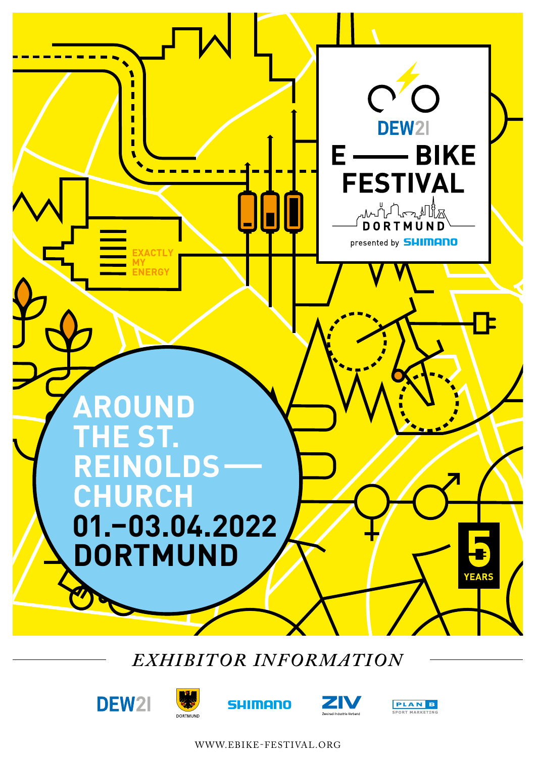

# *EXHIBITOR INFORMATION*









WWW.EBIKE-FESTIVAL.ORG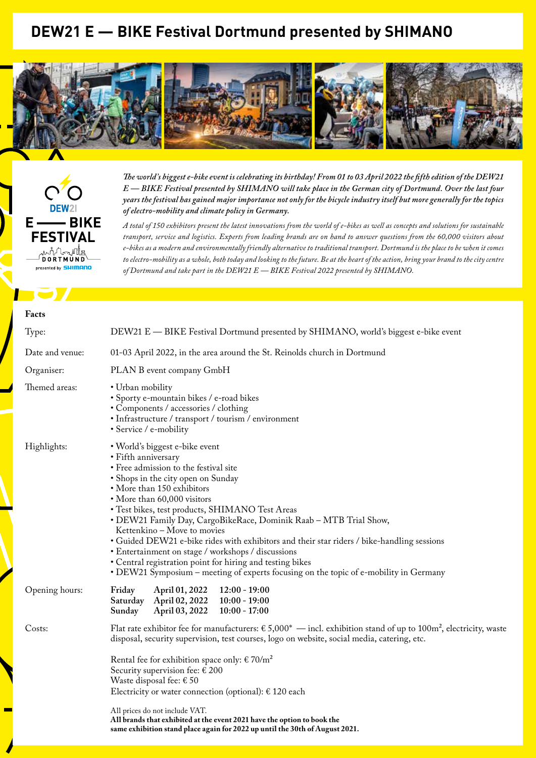## **DEW21 E — BIKE Festival Dortmund presented by SHIMANO**





*The world's biggest e-bike event is celebrating its birthday! From 01 to 03 April 2022 the fifth edition of the DEW21 E — BIKE Festival presented by SHIMANO will take place in the German city of Dortmund. Over the last four years the festival has gained major importance not only for the bicycle industry itself but more generally for the topics of electro-mobility and climate policy in Germany.*

*A total of 150 exhibitors present the latest innovations from the world of e-bikes as well as concepts and solutions for sustainable transport, service and logistics. Experts from leading brands are on hand to answer questions from the 60,000 visitors about e-bikes as a modern and environmentally friendly alternative to traditional transport. Dortmund is the place to be when it comes to electro-mobility as a whole, both today and looking to the future. Be at the heart of the action, bring your brand to the city centre of Dortmund and take part in the DEW21 E — BIKE Festival 2022 presented by SHIMANO.*

#### **Facts**

| Type:           | DEW21 E - BIKE Festival Dortmund presented by SHIMANO, world's biggest e-bike event                                                                                                                                                                                                                                                                                                                                                                                                                                                                                                                                                                                |  |  |
|-----------------|--------------------------------------------------------------------------------------------------------------------------------------------------------------------------------------------------------------------------------------------------------------------------------------------------------------------------------------------------------------------------------------------------------------------------------------------------------------------------------------------------------------------------------------------------------------------------------------------------------------------------------------------------------------------|--|--|
| Date and venue: | 01-03 April 2022, in the area around the St. Reinolds church in Dortmund                                                                                                                                                                                                                                                                                                                                                                                                                                                                                                                                                                                           |  |  |
| Organiser:      | PLAN B event company GmbH                                                                                                                                                                                                                                                                                                                                                                                                                                                                                                                                                                                                                                          |  |  |
| Themed areas:   | • Urban mobility<br>· Sporty e-mountain bikes / e-road bikes<br>• Components / accessories / clothing<br>• Infrastructure / transport / tourism / environment<br>• Service / e-mobility                                                                                                                                                                                                                                                                                                                                                                                                                                                                            |  |  |
| Highlights:     | · World's biggest e-bike event<br>• Fifth anniversary<br>• Free admission to the festival site<br>· Shops in the city open on Sunday<br>• More than 150 exhibitors<br>• More than 60,000 visitors<br>• Test bikes, test products, SHIMANO Test Areas<br>• DEW21 Family Day, CargoBikeRace, Dominik Raab - MTB Trial Show,<br>Kettenkino - Move to movies<br>• Guided DEW21 e-bike rides with exhibitors and their star riders / bike-handling sessions<br>• Entertainment on stage / workshops / discussions<br>• Central registration point for hiring and testing bikes<br>• DEW21 Symposium – meeting of experts focusing on the topic of e-mobility in Germany |  |  |
| Opening hours:  | April 01, 2022<br>$12:00 - 19:00$<br>Friday<br>April 02, 2022<br>$10:00 - 19:00$<br>Saturday<br>April 03, 2022<br>$10:00 - 17:00$<br>Sunday                                                                                                                                                                                                                                                                                                                                                                                                                                                                                                                        |  |  |
| Costs:          | Flat rate exhibitor fee for manufacturers: $\epsilon$ 5,000 <sup>*</sup> — incl. exhibition stand of up to 100m <sup>2</sup> , electricity, waste<br>disposal, security supervision, test courses, logo on website, social media, catering, etc.                                                                                                                                                                                                                                                                                                                                                                                                                   |  |  |
|                 | Rental fee for exhibition space only: $\epsilon$ 70/m <sup>2</sup><br>Security supervision fee: € 200<br>Waste disposal fee: $\epsilon$ 50<br>Electricity or water connection (optional): $\epsilon$ 120 each<br>All prices do not include VAT.<br>All brands that exhibited at the event 2021 have the option to book the<br>same exhibition stand place again for 2022 up until the 30th of August 2021.                                                                                                                                                                                                                                                         |  |  |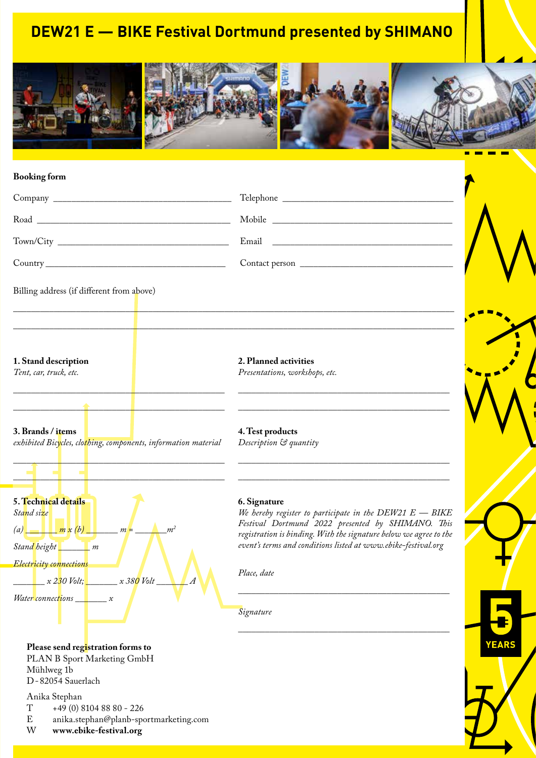## **DEW21 E — BIKE Festival Dortmund presented by SHIMANO**



#### **Booking form**

|                                                                                        | Mobile                                                                                                                                                                                               |  |
|----------------------------------------------------------------------------------------|------------------------------------------------------------------------------------------------------------------------------------------------------------------------------------------------------|--|
|                                                                                        |                                                                                                                                                                                                      |  |
|                                                                                        |                                                                                                                                                                                                      |  |
| Billing address (if different from above)                                              |                                                                                                                                                                                                      |  |
| 1. Stand description<br>Tent, car, truck, etc.                                         | 2. Planned activities<br>Presentations, workshops, etc.<br><u> 1980 - Johann Barbara, margaret eta idazlea (h. 1980).</u>                                                                            |  |
| 3. Brands / items<br>exhibited Bicycles, clothing, components, information material    | <u> 1989 - Andrea Stadt Britain, amerikansk politiker (</u><br>4. Test products<br>Description & quantity                                                                                            |  |
| 5. Technical details<br>Stand size<br>(a) $\frac{1}{m} \times (b)$ $m = \frac{1}{m^2}$ | 6. Signature<br>We hereby register to participate in the $DEW21 E - BIKE$<br>Festival Dortmund 2022 presented by SHIMANO. This<br>registration is hinding With the signature helogy ave garee to the |  |

*Stand height \_\_\_\_\_\_\_ m Electricity connections*

*\_\_\_\_\_\_\_ x 230 Volt; \_\_\_\_\_\_\_ x 380 Volt \_\_\_\_\_\_\_ A*

*Water connections \_\_\_\_\_\_\_ x*

**15.–17.04.2016** *event's terms and conditions listed at www.ebike-festival.org Festival Dortmund 2022 presented by SHIMANO. This registration is binding. With the signature below we agree to the* 

*\_\_\_\_\_\_\_\_\_\_\_\_\_\_\_\_\_\_\_\_\_\_\_\_\_\_\_\_\_\_\_\_\_\_\_\_\_\_\_\_\_\_\_\_\_\_\_*

*\_\_\_\_\_\_\_\_\_\_\_\_\_\_\_\_\_\_\_\_\_\_\_\_\_\_\_\_\_\_\_\_\_\_\_\_\_\_\_\_\_\_\_\_\_\_\_*

**DO** *Place, date* 

*Signature*



PLAN B Sport Marketing GmbH Mühlweg 1b

D-82054 Sauerlach

Anika Stephan<br>T +49 (0) 8

- $T +49 (0) 8104 88 80 226$ <br>E anika.stephan@planb-spo
- E anika.stephan@planb-sportmarketing.com<br>W www.ebike-festival.org

W **www.ebike-festival.org**